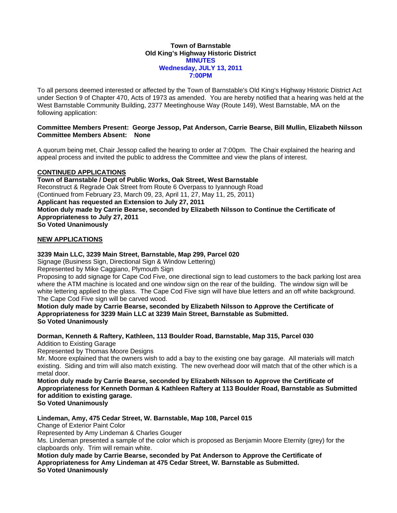#### **Town of Barnstable Old King's Highway Historic District MINUTES Wednesday, JULY 13, 2011 7:00PM**

To all persons deemed interested or affected by the Town of Barnstable's Old King's Highway Historic District Act under Section 9 of Chapter 470, Acts of 1973 as amended. You are hereby notified that a hearing was held at the West Barnstable Community Building, 2377 Meetinghouse Way (Route 149), West Barnstable, MA on the following application:

### **Committee Members Present: George Jessop, Pat Anderson, Carrie Bearse, Bill Mullin, Elizabeth Nilsson Committee Members Absent: None**

A quorum being met, Chair Jessop called the hearing to order at 7:00pm. The Chair explained the hearing and appeal process and invited the public to address the Committee and view the plans of interest.

# **CONTINUED APPLICATIONS**

**Town of Barnstable / Dept of Public Works, Oak Street, West Barnstable**  Reconstruct & Regrade Oak Street from Route 6 Overpass to Iyannough Road (Continued from February 23, March 09, 23, April 11, 27, May 11, 25, 2011) **Applicant has requested an Extension to July 27, 2011 Motion duly made by Carrie Bearse, seconded by Elizabeth Nilsson to Continue the Certificate of Appropriateness to July 27, 2011 So Voted Unanimously** 

## **NEW APPLICATIONS**

## **3239 Main LLC, 3239 Main Street, Barnstable, Map 299, Parcel 020**

Signage (Business Sign, Directional Sign & Window Lettering)

Represented by Mike Caggiano, Plymouth Sign

Proposing to add signage for Cape Cod Five, one directional sign to lead customers to the back parking lost area where the ATM machine is located and one window sign on the rear of the building. The window sign will be white lettering applied to the glass. The Cape Cod Five sign will have blue letters and an off white background. The Cape Cod Five sign will be carved wood.

**Motion duly made by Carrie Bearse, seconded by Elizabeth Nilsson to Approve the Certificate of Appropriateness for 3239 Main LLC at 3239 Main Street, Barnstable as Submitted. So Voted Unanimously** 

**Dorman, Kenneth & Raftery, Kathleen, 113 Boulder Road, Barnstable, Map 315, Parcel 030**  Addition to Existing Garage

Represented by Thomas Moore Designs

Mr. Moore explained that the owners wish to add a bay to the existing one bay garage. All materials will match existing. Siding and trim will also match existing. The new overhead door will match that of the other which is a metal door.

**Motion duly made by Carrie Bearse, seconded by Elizabeth Nilsson to Approve the Certificate of Appropriateness for Kenneth Dorman & Kathleen Raftery at 113 Boulder Road, Barnstable as Submitted for addition to existing garage.** 

**So Voted Unanimously** 

**Lindeman, Amy, 475 Cedar Street, W. Barnstable, Map 108, Parcel 015** 

Change of Exterior Paint Color

Represented by Amy Lindeman & Charles Gouger

Ms. Lindeman presented a sample of the color which is proposed as Benjamin Moore Eternity (grey) for the clapboards only. Trim will remain white.

**Motion duly made by Carrie Bearse, seconded by Pat Anderson to Approve the Certificate of Appropriateness for Amy Lindeman at 475 Cedar Street, W. Barnstable as Submitted. So Voted Unanimously**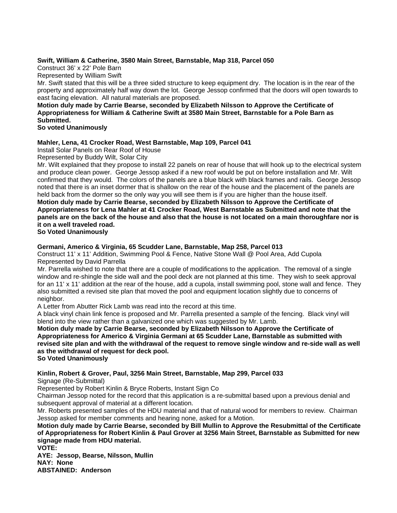## **Swift, William & Catherine, 3580 Main Street, Barnstable, Map 318, Parcel 050**

Construct 36' x 22' Pole Barn

Represented by William Swift

Mr. Swift stated that this will be a three sided structure to keep equipment dry. The location is in the rear of the property and approximately half way down the lot. George Jessop confirmed that the doors will open towards to east facing elevation. All natural materials are proposed.

# **Motion duly made by Carrie Bearse, seconded by Elizabeth Nilsson to Approve the Certificate of Appropriateness for William & Catherine Swift at 3580 Main Street, Barnstable for a Pole Barn as Submitted.**

**So voted Unanimously** 

## **Mahler, Lena, 41 Crocker Road, West Barnstable, Map 109, Parcel 041**

Install Solar Panels on Rear Roof of House

Represented by Buddy Wilt, Solar City

Mr. Wilt explained that they propose to install 22 panels on rear of house that will hook up to the electrical system and produce clean power. George Jessop asked if a new roof would be put on before installation and Mr. Wilt confirmed that they would. The colors of the panels are a blue black with black frames and rails. George Jessop noted that there is an inset dormer that is shallow on the rear of the house and the placement of the panels are held back from the dormer so the only way you will see them is if you are higher than the house itself.

**Motion duly made by Carrie Bearse, seconded by Elizabeth Nilsson to Approve the Certificate of Appropriateness for Lena Mahler at 41 Crocker Road, West Barnstable as Submitted and note that the panels are on the back of the house and also that the house is not located on a main thoroughfare nor is it on a well traveled road.** 

**So Voted Unanimously** 

## **Germani, Americo & Virginia, 65 Scudder Lane, Barnstable, Map 258, Parcel 013**

Construct 11' x 11' Addition, Swimming Pool & Fence, Native Stone Wall @ Pool Area, Add Cupola Represented by David Parrella

Mr. Parrella wished to note that there are a couple of modifications to the application. The removal of a single window and re-shingle the side wall and the pool deck are not planned at this time. They wish to seek approval for an 11' x 11' addition at the rear of the house, add a cupola, install swimming pool, stone wall and fence. They also submitted a revised site plan that moved the pool and equipment location slightly due to concerns of neighbor.

A Letter from Abutter Rick Lamb was read into the record at this time.

A black vinyl chain link fence is proposed and Mr. Parrella presented a sample of the fencing. Black vinyl will blend into the view rather than a galvanized one which was suggested by Mr. Lamb.

**Motion duly made by Carrie Bearse, seconded by Elizabeth Nilsson to Approve the Certificate of Appropriateness for Americo & Virginia Germani at 65 Scudder Lane, Barnstable as submitted with revised site plan and with the withdrawal of the request to remove single window and re-side wall as well as the withdrawal of request for deck pool.** 

**So Voted Unanimously** 

# **Kinlin, Robert & Grover, Paul, 3256 Main Street, Barnstable, Map 299, Parcel 033**

Signage (Re-Submittal)

Represented by Robert Kinlin & Bryce Roberts, Instant Sign Co

Chairman Jessop noted for the record that this application is a re-submittal based upon a previous denial and subsequent approval of material at a different location.

Mr. Roberts presented samples of the HDU material and that of natural wood for members to review. Chairman Jessop asked for member comments and hearing none, asked for a Motion.

**Motion duly made by Carrie Bearse, seconded by Bill Mullin to Approve the Resubmittal of the Certificate of Appropriateness for Robert Kinlin & Paul Grover at 3256 Main Street, Barnstable as Submitted for new signage made from HDU material.** 

**VOTE:** 

**AYE: Jessop, Bearse, Nilsson, Mullin NAY: None ABSTAINED: Anderson**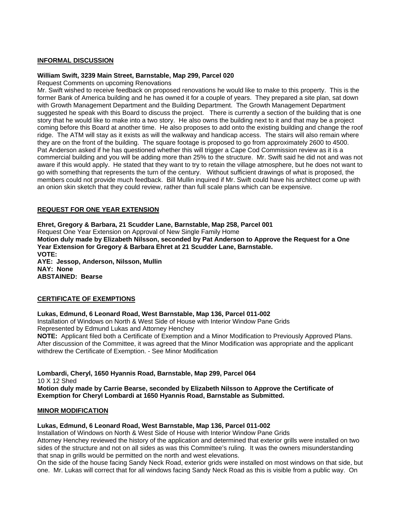## **INFORMAL DISCUSSION**

#### **William Swift, 3239 Main Street, Barnstable, Map 299, Parcel 020**

Request Comments on upcoming Renovations

Mr. Swift wished to receive feedback on proposed renovations he would like to make to this property. This is the former Bank of America building and he has owned it for a couple of years. They prepared a site plan, sat down with Growth Management Department and the Building Department. The Growth Management Department suggested he speak with this Board to discuss the project. There is currently a section of the building that is one story that he would like to make into a two story. He also owns the building next to it and that may be a project coming before this Board at another time. He also proposes to add onto the existing building and change the roof ridge. The ATM will stay as it exists as will the walkway and handicap access. The stairs will also remain where they are on the front of the building. The square footage is proposed to go from approximately 2600 to 4500. Pat Anderson asked if he has questioned whether this will trigger a Cape Cod Commission review as it is a commercial building and you will be adding more than 25% to the structure. Mr. Swift said he did not and was not aware if this would apply. He stated that they want to try to retain the village atmosphere, but he does not want to go with something that represents the turn of the century. Without sufficient drawings of what is proposed, the members could not provide much feedback. Bill Mullin inquired if Mr. Swift could have his architect come up with an onion skin sketch that they could review, rather than full scale plans which can be expensive.

#### **REQUEST FOR ONE YEAR EXTENSION**

**Ehret, Gregory & Barbara, 21 Scudder Lane, Barnstable, Map 258, Parcel 001** 

Request One Year Extension on Approval of New Single Family Home

**Motion duly made by Elizabeth Nilsson, seconded by Pat Anderson to Approve the Request for a One Year Extension for Gregory & Barbara Ehret at 21 Scudder Lane, Barnstable.** 

**VOTE: AYE: Jessop, Anderson, Nilsson, Mullin NAY: None ABSTAINED: Bearse** 

#### **CERTIFICATE OF EXEMPTIONS**

### **Lukas, Edmund, 6 Leonard Road, West Barnstable, Map 136, Parcel 011-002**

Installation of Windows on North & West Side of House with Interior Window Pane Grids Represented by Edmund Lukas and Attorney Henchey

**NOTE:** Applicant filed both a Certificate of Exemption and a Minor Modification to Previously Approved Plans. After discussion of the Committee, it was agreed that the Minor Modification was appropriate and the applicant withdrew the Certificate of Exemption. - See Minor Modification

**Lombardi, Cheryl, 1650 Hyannis Road, Barnstable, Map 299, Parcel 064**  10 X 12 Shed **Motion duly made by Carrie Bearse, seconded by Elizabeth Nilsson to Approve the Certificate of Exemption for Cheryl Lombardi at 1650 Hyannis Road, Barnstable as Submitted.** 

#### **MINOR MODIFICATION**

**Lukas, Edmund, 6 Leonard Road, West Barnstable, Map 136, Parcel 011-002** 

Installation of Windows on North & West Side of House with Interior Window Pane Grids Attorney Henchey reviewed the history of the application and determined that exterior grills were installed on two sides of the structure and not on all sides as was this Committee's ruling. It was the owners misunderstanding that snap in grills would be permitted on the north and west elevations.

On the side of the house facing Sandy Neck Road, exterior grids were installed on most windows on that side, but one. Mr. Lukas will correct that for all windows facing Sandy Neck Road as this is visible from a public way. On